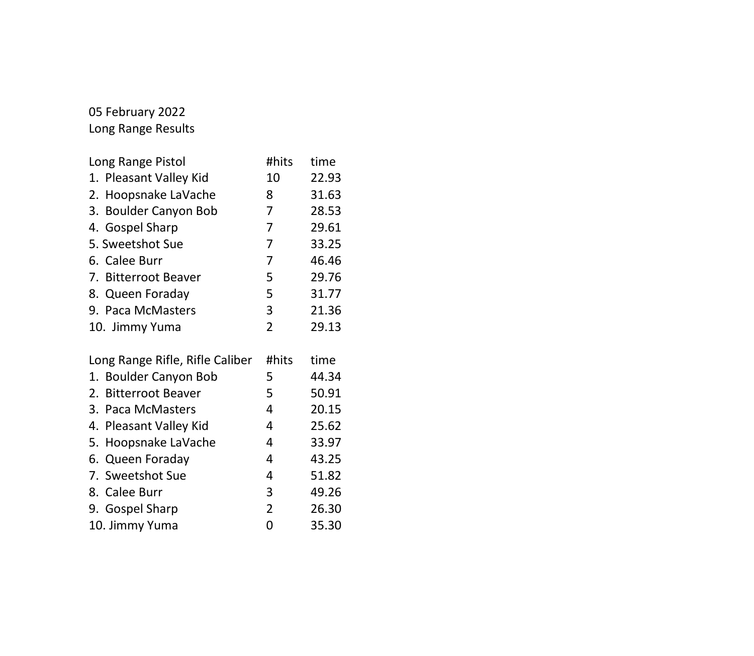### 05 February 2022 Long Range Results

| Long Range Pistol                                            | #hits          | time           |
|--------------------------------------------------------------|----------------|----------------|
| 1. Pleasant Valley Kid                                       | 10             | 22.93          |
| 2. Hoopsnake LaVache                                         | 8              | 31.63          |
| 3. Boulder Canyon Bob                                        | 7              | 28.53          |
| 4. Gospel Sharp                                              | 7              | 29.61          |
| 5. Sweetshot Sue                                             | 7              | 33.25          |
| 6. Calee Burr                                                | $\overline{7}$ | 46.46          |
| 7. Bitterroot Beaver                                         | 5              | 29.76          |
| 8. Queen Foraday                                             | 5              | 31.77          |
| 9. Paca McMasters                                            | 3              | 21.36          |
| 10. Jimmy Yuma                                               | $\overline{2}$ | 29.13          |
|                                                              |                |                |
|                                                              |                |                |
| Long Range Rifle, Rifle Caliber                              | #hits          | time           |
| 1. Boulder Canyon Bob<br><b>Bitterroot Beaver</b><br>$2_{-}$ | 5<br>5         | 44.34<br>50.91 |
| Paca McMasters<br>3.                                         | 4              | 20.15          |
| 4. Pleasant Valley Kid                                       | 4              | 25.62          |
| 5. Hoopsnake LaVache                                         | 4              | 33.97          |
| 6. Queen Foraday                                             | 4              | 43.25          |
| 7. Sweetshot Sue                                             | 4              | 51.82          |
| 8. Calee Burr                                                | 3              | 49.26          |
| 9. Gospel Sharp                                              | 2              | 26.30          |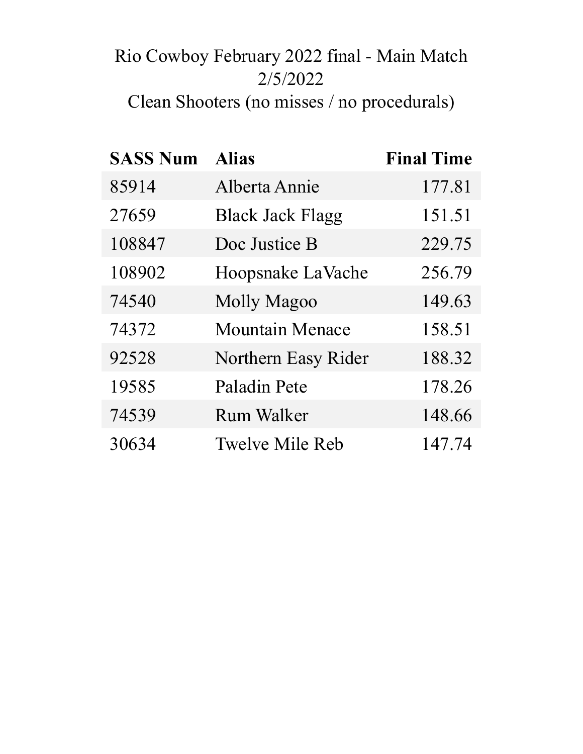# Rio Cowboy February 2022 final - Main Match 2/5/2022 Clean Shooters (no misses / no procedurals)

| <b>SASS Num</b> | <b>Alias</b>            | <b>Final Time</b> |
|-----------------|-------------------------|-------------------|
| 85914           | Alberta Annie           | 177.81            |
| 27659           | <b>Black Jack Flagg</b> | 151.51            |
| 108847          | Doc Justice B           | 229.75            |
| 108902          | Hoopsnake LaVache       | 256.79            |
| 74540           | <b>Molly Magoo</b>      | 149.63            |
| 74372           | <b>Mountain Menace</b>  | 158.51            |
| 92528           | Northern Easy Rider     | 188.32            |
| 19585           | Paladin Pete            | 178.26            |
| 74539           | <b>Rum Walker</b>       | 148.66            |
| 30634           | <b>Twelve Mile Reb</b>  | 147.74            |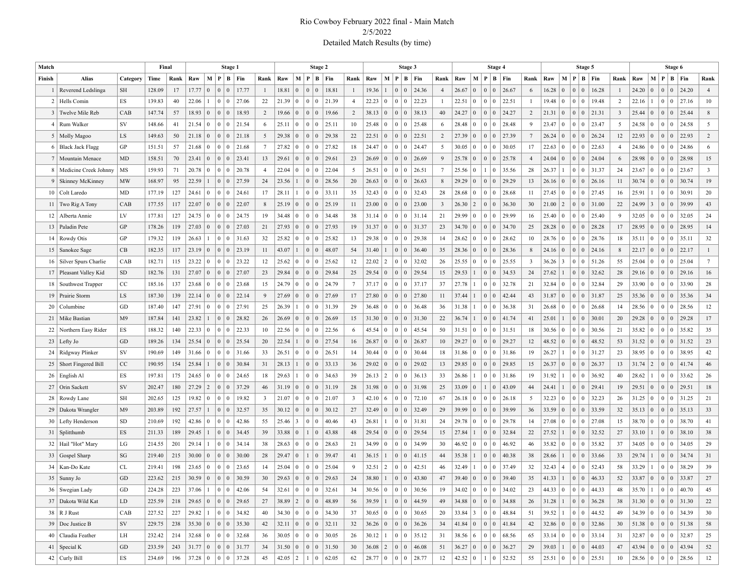#### Rio Cowboy February 2022 final - Main Match 2/5/2022 Detailed Match Results (by time)

| Match          |                           |                     | Final  |      |                                                                                            |                 |                   | Stage 1   |           |                         |                                                                                                |                |                | Stage 2         |       |                         |                             |                 |                       | Stage 3         |           |                         |                   |                 |                                  | Stage 4                     |                         |             |                         |                                   | Stage 5                                               |                |                                         |                 |                 | Stage 6         |                         |
|----------------|---------------------------|---------------------|--------|------|--------------------------------------------------------------------------------------------|-----------------|-------------------|-----------|-----------|-------------------------|------------------------------------------------------------------------------------------------|----------------|----------------|-----------------|-------|-------------------------|-----------------------------|-----------------|-----------------------|-----------------|-----------|-------------------------|-------------------|-----------------|----------------------------------|-----------------------------|-------------------------|-------------|-------------------------|-----------------------------------|-------------------------------------------------------|----------------|-----------------------------------------|-----------------|-----------------|-----------------|-------------------------|
| Finish         | Alias                     | Category            | Time   | Rank | Raw                                                                                        | $M \mid P$      |                   |           | $ B $ Fin | Rank                    | Raw                                                                                            |                |                | M   P   B   Fin |       | Rank                    | Raw                         |                 | $M$   $P$   $B$   Fin |                 |           | Rank                    | Raw               |                 | M   P                            | B   Fin                     | Rank                    | Raw         | M                       | P                                 | $B \mid Fin$                                          | Rank           | Raw                                     |                 |                 | M   P   B   Fin | Rank                    |
|                | Reverend Ledslinga        | SH                  | 128.09 | 17   | 17.77                                                                                      | $\overline{0}$  | $\overline{0}$    | $\vert 0$ | 17.77     | $\mathbf{1}$            | 18.81                                                                                          | $\Omega$       | $\overline{0}$ | $\mathbf{0}$    | 18.81 | -1                      | 19.36                       | $\overline{1}$  | $\mathbf{0}$          | $\vert 0 \vert$ | 24.36     | $\overline{4}$          | 26.67             | $\vert 0 \vert$ | $\Omega$                         | 26.67<br>$\Omega$           | 6                       | 16.28       | $\mathbf{0}$            | $\boldsymbol{0}$                  | $\mathbf{0}$<br>16.28                                 | 1              | 24.20                                   | $\Omega$        | 0 <sup>0</sup>  | 24.20           | $\overline{4}$          |
|                | 2   Hells Comin           | <b>ES</b>           | 139.83 | 40   | 22.06                                                                                      |                 | 0 <sup>10</sup>   |           | 27.06     | 22                      | 21.39                                                                                          | $\bf{0}$       | $\mathbf{0}$   | $\mathbf{0}$    | 21.39 | $\overline{4}$          | 22.23                       | $\bf{0}$        | $\mathbf{0}$          | 0               | 22.23     | -1                      | 22.51             | $\vert 0 \vert$ | $\mathbf{0}$                     | 22.51<br>$\Omega$           | -1                      | 19.48       | $\bf{0}$                | $\bf{0}$                          | $\bf{0}$<br>19.48                                     | 2              | 22.16                                   |                 | 0 <sup>0</sup>  | 27.16           | 10                      |
|                | 3 Twelve Mile Reb         | CAB                 | 147.74 | 57   | 18.93                                                                                      | $\mathbf{0}$    |                   |           | 18.93     | $\overline{2}$          | 19.66                                                                                          | $\mathbf{0}$   | $\mathbf{0}$   | $\overline{0}$  | 19.66 | 2                       | 38.13                       | $\overline{0}$  | $\mathbf{0}$          | $\vert 0 \vert$ | 38.13     | 40                      | 24.27             | $\vert 0 \vert$ | $\overline{0}$<br>$\Omega$       | 24.27                       | $\overline{c}$          | 21.31       | $\vert 0 \vert$         | $\boldsymbol{0}$                  | $\mathbf{0}$<br> 21.31                                | $\overline{3}$ | 25.44                                   | $\overline{0}$  | 0 <sup>0</sup>  | 25.44           | 8                       |
| $\overline{4}$ | Rum Walker                | <b>SV</b>           | 148.66 | 41   | 21.54                                                                                      | $\bf{0}$        | 0 <sup>10</sup>   |           | 21.54     | 6                       | 25.11                                                                                          | $\mathbf{0}$   | $\mathbf{0}$   | $\mathbf{0}$    | 25.11 | 10                      | 25.48                       | $\mathbf{0}$    | $\mathbf{0}$          | 0               | 25.48     | -6                      | 28.48             | $\vert 0 \vert$ | $\Omega$                         | 28.48<br>$\Omega$           | 9                       | 23.47       | $\overline{0}$          | $\bf{0}$                          | $\bf{0}$<br>23.47                                     | 5              | 24.58                                   | $\bf{0}$        | 0 <sup>0</sup>  | 24.58           | 5                       |
|                | 5   Molly Magoo           | LS.                 | 149.63 | 50   | 21.18                                                                                      | $\overline{0}$  | 0 <sup>10</sup>   |           | 21.18     | 5                       | 29.38                                                                                          | $\Omega$       | $\overline{0}$ | $\mathbf{0}$    | 29.38 | 22                      | 22.51                       | $\overline{0}$  | $\mathbf{0}$          | $\vert 0 \vert$ | 22.51     | 2                       | 27.39             | $\vert 0 \vert$ | $\overline{0}$<br>$\Omega$       | 27.39                       | $7\phantom{.0}$         | 26.24       | $\mathbf{0}$            | $\mathbf{0}$                      | $\mathbf{0}$<br>26.24                                 | 12             | 22.93                                   | $\mathbf{0}$    | 0 <sup>0</sup>  | 22.93           | 2                       |
|                | 6   Black Jack Flagg      | GP                  | 151.51 | 57   | 21.68                                                                                      | $\bf{0}$        | 0 <sup>10</sup>   |           | 21.68     | $\tau$                  | 27.82                                                                                          | $\Omega$       | $\overline{0}$ | $\overline{0}$  | 27.82 | 18                      | 24.47                       | $\overline{0}$  | $\mathbf{0}$          | $\vert 0 \vert$ | 24.47     | 5                       | 30.05             | $\vert 0 \vert$ | $\mathbf{0}$                     | $\Omega$<br>30.05           | 17                      | 22.63       | $\mathbf{0}$            | $\bf{0}$                          | $\bf{0}$<br>22.63                                     | $\overline{4}$ | 24.86                                   | $\mathbf{0}$    | 0 <sup>0</sup>  | 24.86           | 6                       |
|                | 7   Mountain Menace       | MD                  | 158.51 | 70   | 23.41                                                                                      | $\mathbf{0}$    | 0 <sup>10</sup>   |           | 23.41     | 13                      | 29.61                                                                                          | $\Omega$       | $\overline{0}$ | $\mathbf{0}$    | 29.61 | 23                      | 26.69                       | $\overline{0}$  | $\mathbf{0}$          | $\vert 0 \vert$ | 26.69     | 9                       | 25.78             | $\vert 0 \vert$ | $\overline{0}$<br>$\overline{0}$ | 25.78                       | $\overline{4}$          | 24.04       | $\mathbf{0}$            | $\mathbf{0}$                      | $\mathbf{0}$<br>24.04                                 | 6              | 28.98                                   | $\overline{0}$  | 0 <sup>0</sup>  | 28.98           | 15                      |
|                | 8   Medicine Creek Johnny | MS                  | 159.93 | 71   | 20.78                                                                                      | $\bf{0}$        | 0 <sup>10</sup>   |           | 20.78     | $\overline{4}$          | 22.04                                                                                          | $\Omega$       | $\overline{0}$ | $\mathbf{0}$    | 22.04 | 5                       | 26.51                       | $\mathbf{0}$    | $\mathbf{0}$          | $\vert 0 \vert$ | 26.51     | $7\phantom{.0}$         | 25.56             | $\vert 0 \vert$ | $\Omega$                         | 35.56                       | 28                      | 26.37       | $\mathbf{1}$            | $\bf{0}$                          | 31.37<br>$\bf{0}$                                     | 24             | 23.67                                   | $\bf{0}$        | 0 <sup>0</sup>  | 23.67           | $\overline{\mathbf{3}}$ |
|                | 9   Skinney McKinney      | MW                  | 168.97 | 95   | 22.59                                                                                      | $\overline{1}$  | $\vert 0 \vert$   | $\vert 0$ | 27.59     | 24                      | 23.56                                                                                          |                | $\mathbf{0}$   | $\mathbf{0}$    | 28.56 | 20                      | 26.63                       | $\overline{0}$  | $\mathbf{0}$          | $\vert 0 \vert$ | 26.63     | 8                       | 29.29             | $\vert 0 \vert$ | $\mathbf{0}$<br>$\Omega$         | 29.29                       | 13                      | 26.16       | $\mathbf{0}$            | $\boldsymbol{0}$                  | $\mathbf{0}$<br>26.16                                 | 11             | 30.74                                   | $\overline{0}$  | 0 <sup>0</sup>  | 30.74           | 19                      |
|                | 10   Colt Laredo          | MD                  | 177.19 | 127  | 24.61                                                                                      | $\bf{0}$        | 0 <sup>10</sup>   |           | 24.61     | 17                      | 28.11                                                                                          |                | $\mathbf{0}$   | $\mathbf{0}$    | 33.11 | 35                      | 32.43                       | $\mathbf{0}$    | $\mathbf{0}$          | $\vert 0 \vert$ | 32.43     | 28                      | 28.68             | $\vert 0 \vert$ | $\Omega$                         | 28.68<br>$\Omega$           | 11                      | 27.45       | $\vert 0 \vert$         | $\bf{0}$                          | $\mathbf{0}$<br>27.45                                 | 16             | 25.91                                   |                 | 0 <sup>0</sup>  | 30.91           | 20                      |
|                | 11   Two Rig A Tony       | CAB                 | 177.55 | 117  | 22.07                                                                                      | $\mathbf{0}$    |                   |           | 22.07     | 8                       | 25.19                                                                                          | $\overline{0}$ | $\mathbf{0}$   | $\mathbf{0}$    | 25.19 | 11                      | 23.00                       | $\overline{0}$  | $\mathbf{0}$          | $\vert 0 \vert$ | 23.00     | $\overline{\mathbf{3}}$ | 26.30             | $\vert$ 2       | $\mathbf{0}$<br>$\Omega$         | 36.30                       | 30                      | 21.00       | $\vert$ 2               | $\boldsymbol{0}$                  | $\mathbf{0}$<br>31.00                                 | 22             | 24.99                                   | 3               | 0 <sup>0</sup>  | 39.99           | 43                      |
| 12             | Alberta Annie             | LV                  | 177.81 | 127  | 24.75                                                                                      | $\overline{0}$  | 0 <sup>10</sup>   |           | 24.75     | 19                      | 34.48                                                                                          | $\Omega$       | $\overline{0}$ | $\mathbf{0}$    | 34.48 | 38                      | 31.14                       | $\bf{0}$        | $\mathbf{0}$          | $\vert 0 \vert$ | 31.14     | 21                      | 29.99             | $\vert 0 \vert$ | $\Omega$                         | 29.99<br>$\Omega$           | 16                      | 25.40       | $\vert 0 \vert$         | $\bf{0}$                          | $\bf{0}$<br>25.40                                     | 9              | 32.05                                   | $\bf{0}$        | 0 <sup>0</sup>  | 32.05           | 24                      |
|                | 13   Paladin Pete         | GP                  | 178.26 | 119  | 27.03                                                                                      | $\mathbf{0}$    |                   |           | 27.03     | 21                      | 27.93                                                                                          | $\Omega$       | $\mathbf{0}$   | $\mathbf{0}$    | 27.93 | 19                      | 31.37                       | $\vert 0 \vert$ | $\mathbf{0}$          | $\vert 0 \vert$ | 31.37     | 23                      | 34.70             | $\vert 0 \vert$ | $\mathbf{0}$<br>$\Omega$         | 34.70                       | 25                      | 28.28       | $\mathbf{0}$            | $\boldsymbol{0}$                  | $\mathbf{0}$<br>28.28                                 | 17             | 28.95                                   | $\mathbf{0}$    | 0 <sup>0</sup>  | 28.95           | 14                      |
|                | 14   Rowdy Otis           | <b>GP</b>           | 179.32 | 119  | 26.63                                                                                      |                 | 0 <sup>10</sup>   |           | 31.63     | 32                      | 25.82                                                                                          | $\Omega$       | $\mathbf{0}$   | $\mathbf{0}$    | 25.82 | 13                      | 29.38                       | $\mathbf{0}$    | $\mathbf{0}$          | $\vert 0 \vert$ | 29.38     | 14                      | 28.62             | $\vert 0 \vert$ | $\Omega$                         | 28.62<br>$\Omega$           | 10                      | 28.76       | $\mathbf{0}$            | $\bf{0}$                          | $\bf{0}$<br>28.76                                     | 18             | 35.11                                   | $\bf{0}$        | 0 <sup>0</sup>  | 35.11           | 32                      |
|                | 15   Sanokee Sage         | CB                  | 182.35 | 117  | 23.19                                                                                      | $\vert 0 \vert$ |                   |           | 23.19     | 11                      | 43.07                                                                                          |                | $\mathbf{0}$   | $\mathbf{0}$    | 48.07 | 54                      | 31.40                       | $\overline{1}$  | $\mathbf{0}$          | $\vert 0 \vert$ | 36.40     | 35                      | 28.36             | $\vert 0 \vert$ | $\mathbf{0}$                     | 28.36<br>$\Omega$           | $\,8\,$                 | 24.16       | $\mathbf{0}$            | $\mathbf{0}$                      | 24.16<br>$\mathbf{0}$                                 | 8              | 22.17                                   | $\vert 0 \vert$ | 0 <sup>0</sup>  | 22.17           | 1                       |
|                | 16   Silver Spurs Charlie | CAB                 | 182.71 | 115  | 23.22                                                                                      | $\bf{0}$        | 0 <sup>10</sup>   |           | 23.22     | 12                      | 25.62                                                                                          | $\Omega$       | $\overline{0}$ | $\mathbf{0}$    | 25.62 | 12                      | 22.02                       | $\overline{2}$  | $\mathbf{0}$          | $\vert 0 \vert$ | 32.02     | 26                      | 25.55             | $\vert 0 \vert$ | $\Omega$                         | 25.55<br>$\Omega$           | $\overline{\mathbf{3}}$ | 36.26       | $\overline{\mathbf{3}}$ | $\bf{0}$                          | $\bf{0}$<br>51.26                                     | 55             | 25.04                                   | $\bf{0}$        | 0 <sup>0</sup>  | 25.04           | $7\phantom{.0}$         |
|                | 17   Pleasant Valley Kid  | SD                  | 182.76 | 131  | 27.07                                                                                      | $\overline{0}$  |                   |           | 27.07     | 23                      | 29.84                                                                                          | $\Omega$       | $\overline{0}$ | $\mathbf{0}$    | 29.84 | 25                      | 29.54                       | $\overline{0}$  | $\mathbf{0}$          | $\vert 0 \vert$ | 29.54     | 15                      | 29.53             |                 | $\mathbf{0}$<br>$\Omega$         | 34.53                       | 24                      | 27.62       | $\mathbf{1}$            | $\boldsymbol{0}$                  | $\mathbf{0}$<br>32.62                                 | 28             | 29.16                                   | $\mathbf{0}$    | 0 <sup>0</sup>  | 29.16           | 16                      |
|                | 18   Southwest Trapper    | CC                  | 185.16 | 137  | 23.68                                                                                      | $\mathbf{0}$    | 0 <sup>10</sup>   |           | 23.68     | 15                      | 24.79                                                                                          | $\Omega$       | $\mathbf{0}$   | $\overline{0}$  | 24.79 | $\overline{7}$          | 37.17                       | $\overline{0}$  | $\mathbf{0}$          | 0               | 37.17     | 37                      | 27.78             |                 | $\Omega$                         | 32.78<br>$\Omega$           | 21                      | 32.84       | $\bf{0}$                | $\bf{0}$                          | 32.84<br>$\bf{0}$                                     | 29             | 33.90                                   | $\bf{0}$        | 0 <sup>0</sup>  | 33.90           | 28                      |
|                | 19 Prairie Storm          | LS.                 | 187.30 | 139  | 22.14                                                                                      | $\overline{0}$  |                   |           | 22.14     | 9                       | 27.69                                                                                          | $\Omega$       | $\mathbf{0}$   | $\mathbf{0}$    | 27.69 | 17                      | 27.80                       | $\mathbf{0}$    | $\mathbf{0}$          | $\vert 0 \vert$ | 27.80     | 11                      | 37.44             |                 | $\mathbf{0}$<br>$\Omega$         | 42.44                       | 43                      | 31.87       | $\vert 0 \vert$         | $\boldsymbol{0}$                  | 31.87<br>$\mathbf{0}$                                 | 25             | 35.36                                   | $\overline{0}$  | 0 <sup>0</sup>  | 35.36           | 34                      |
| 20             | Columbine                 | GD                  | 187.40 | 147  | 27.91                                                                                      | $\bf{0}$        | $\overline{0}$    | $\vert 0$ | 27.91     | 25                      | 26.39                                                                                          |                | $\mathbf{0}$   | $\overline{0}$  | 31.39 | 29                      | 36.48                       | $\mathbf{0}$    | $\mathbf{0}$          | $\vert 0 \vert$ | 36.48     | 36                      | 31.38             |                 | $\Omega$                         | 36.38<br>$\Omega$           | 31                      | 26.68       | $\bf{0}$                | $\bf{0}$                          | $\bf{0}$<br>26.68                                     | 14             | 28.56                                   | $\bf{0}$        | 0 <sup>0</sup>  | 28.56           | 12                      |
|                | 21   Mike Bastian         | M <sup>9</sup>      | 187.84 | 141  | 23.82                                                                                      | $\overline{1}$  |                   |           | 28.82     | 26                      | 26.69                                                                                          | $\Omega$       | $\mathbf{0}$   | $\mathbf{0}$    | 26.69 | 15                      | 31.30                       | $\overline{0}$  | $\mathbf{0}$          | $\vert 0 \vert$ | 31.30     | 22                      | 36.74             |                 | $\mathbf{0}$<br>$\overline{0}$   | 41.74                       | 41                      | 25.01       | $\mathbf{1}$            | $\boldsymbol{0}$                  | $\mathbf{0}$<br>30.01                                 | 20             | 29.28                                   | $\overline{0}$  | 0 <sup>0</sup>  | 29.28           | 17                      |
|                | 22   Northern Easy Rider  | ES                  | 188.32 | 140  | 22.33                                                                                      | $\overline{0}$  | $\overline{0}$    | $\vert 0$ | 22.33     | 10                      | 22.56                                                                                          | $\Omega$       | $\overline{0}$ | $\mathbf{0}$    | 22.56 | 6                       | 45.54                       | $\mathbf{0}$    | $\mathbf{0}$          | 0               | 45.54     | 50                      | 31.51             | $\vert 0 \vert$ | $\mathbf{0}$                     | 31.51<br>$\Omega$           | 18                      | 30.56       | $\overline{0}$          | $\bf{0}$                          | $\bf{0}$<br>30.56                                     | 21             | 35.82                                   | $\bf{0}$        | 0 <sup>0</sup>  | 35.82           | 35                      |
|                | $23$ Lefty Jo             | GD                  | 189.26 | 134  | 25.54                                                                                      | $\overline{0}$  | 0 <sup>10</sup>   |           | 25.54     | 20                      | 22.54                                                                                          |                | $\mathbf{0}$   | $\mathbf{0}$    | 27.54 | 16                      | 26.87                       | $\overline{0}$  | $\mathbf{0}$          | $\vert 0 \vert$ | 26.87     | 10                      | 29.27             | $\vert 0 \vert$ | $\mathbf{0}$<br>$\Omega$         | 29.27                       | 12                      | 48.52       | $\mathbf{0}$            | $\boldsymbol{0}$                  | $\mathbf{0}$<br>48.52                                 | 53             | 31.52                                   | $\vert 0 \vert$ | 0 <sup>0</sup>  | 31.52           | 23                      |
|                | 24   Ridgway Plinker      | SV                  | 190.69 | 149  | 31.66                                                                                      | $\bf{0}$        | 0 <sup>10</sup>   |           | 31.66     | 33                      | 26.51                                                                                          | $\theta$       | $\overline{0}$ | $\overline{0}$  | 26.51 | 14                      | 30.44                       | $\mathbf{0}$    | $\mathbf{0}$          | $\vert 0 \vert$ | 30.44     | 18                      | 31.86             | $\vert 0 \vert$ | $\Omega$                         | 31.86<br>$\Omega$           | 19                      | 26.27       | $\mathbf{1}$            | $\bf{0}$                          | $\bf{0}$<br>31.27                                     | 23             | 38.95                                   | $\bf{0}$        | 0 <sup>10</sup> | 38.95           | 42                      |
|                | 25   Short Fingered Bill  | CC                  | 190.95 | 154  | 25.84                                                                                      | $\overline{1}$  |                   |           | 30.84     | 31                      | 28.13                                                                                          |                | $\mathbf{0}$   | $\mathbf{0}$    | 33.13 | 36                      | 29.02                       | $\overline{0}$  | $\mathbf{0}$          | $\vert 0 \vert$ | 29.02     | 13                      | 29.85             | $\vert 0 \vert$ | $\mathbf{0}$<br>$\Omega$         | 29.85                       | 15                      | 26.37       | $\vert 0 \vert$         | $\boldsymbol{0}$                  | $\mathbf{0}$<br>26.37                                 | 13             | 31.74                                   | $\overline{2}$  | 0 <sup>0</sup>  | 41.74           | 46                      |
|                | $26$   English Al         | ES                  | 197.81 | 175  | 24.65                                                                                      | $\bf{0}$        | 0 <sup>10</sup>   |           | 24.65     | 18                      | 29.63                                                                                          |                | $\overline{0}$ | $\mathbf{0}$    | 34.63 | 39                      | 26.13                       | $\overline{2}$  | $\mathbf{0}$          | $\vert 0 \vert$ | 36.13     | 33                      | 26.86             |                 | $\Omega$<br>$\Omega$             | 31.86                       | 19                      | 31.92       | $\mathbf{1}$            | $\bf{0}$                          | $\bf{0}$<br>36.92                                     | 40             | 28.62                                   |                 | 0 <sup>10</sup> | 33.62           | 26                      |
|                | 27   Orin Sackett         | SV                  | 202.47 | 180  | 27.29                                                                                      | $\vert 2 \vert$ | $\vert 0 \vert$   | $\vert 0$ | 37.29     | 46                      | 31.19                                                                                          | $\overline{0}$ | $\mathbf{0}$   | $\mathbf{0}$    | 31.19 | 28                      | 31.98                       | $\overline{0}$  | $\mathbf{0}$          | $\vert 0 \vert$ | 31.98     | 25                      | 33.09             | $\vert 0 \vert$ | $\Omega$                         | 43.09                       | 44                      | 24.41       | $\mathbf{1}$            | $\boldsymbol{0}$                  | $\mathbf{0}$<br>29.41                                 | 19             | 29.51                                   | $\mathbf{0}$    | 0 <sup>0</sup>  | 29.51           | 18                      |
|                | 28   Rowdy Lane           | SH                  | 202.65 | 125  | 19.82                                                                                      | $\mathbf{0}$    | $\overline{0}$    | $\vert 0$ | 19.82     | $\overline{\mathbf{3}}$ | 21.07                                                                                          | $\bf{0}$       | $\mathbf{0}$   | $\overline{0}$  | 21.07 | $\overline{\mathbf{3}}$ | 42.10                       | 6               | $\mathbf{0}$          | $\vert 0 \vert$ | 72.10     | 67                      | 26.18             | $\vert 0 \vert$ | $\mathbf{0}$                     | 26.18<br>$\Omega$           | 5                       | 32.23       | $\bf{0}$                | $\bf{0}$                          | 32.23<br>$\bf{0}$                                     | 26             | 31.25                                   | $\bf{0}$        | 0 <sup>10</sup> | 31.25           | 21                      |
|                | 29   Dakota Wrangler      | M <sub>9</sub>      | 203.89 | 192  | 27.57                                                                                      | $\overline{1}$  | $\overline{0}$    | $\vert 0$ | 32.57     | 35                      | 30.12                                                                                          | $\overline{0}$ | $\mathbf{0}$   | $\mathbf{0}$    | 30.12 | 27                      | 32.49                       | $\overline{0}$  | $\mathbf{0}$          | $\vert 0 \vert$ | 32.49     | 29                      | 39.99             | $\vert 0 \vert$ | $\overline{0}$<br>$\Omega$       | 39.99                       | 36                      | 33.59       | $\vert 0 \vert$         | $\boldsymbol{0}$                  | $\mathbf{0}$<br>33.59                                 | 32             | 35.13                                   | $\vert 0 \vert$ | 0 <sup>0</sup>  | 35.13           | 33                      |
|                | 30   Lefty Henderson      | SD                  | 210.69 | 192  | 42.86                                                                                      | $\mathbf{0}$    | 0 <sup>10</sup>   |           | 42.86     | 55                      | 25.46                                                                                          | 3              | $\mathbf{0}$   | $\overline{0}$  | 40.46 | 43                      | 26.81                       | 1               | $\mathbf{0}$          | $\vert 0 \vert$ | 31.81     | 24                      | 29.78             | $\vert 0 \vert$ | $\Omega$                         | 29.78<br>$\Omega$           | 14                      | 27.08       | $\bf{0}$                | $\bf{0}$                          | $\bf{0}$<br>27.08                                     | 15             | 38.70                                   | $\bf{0}$        | 0 <sup>10</sup> | 38.70           | 41                      |
|                | 31   Splitthumb           | ES                  | 211.33 | 189  | 29.45                                                                                      | $\overline{1}$  | $\vert 0 \vert 0$ |           | 34.45     | 39                      | 33.88                                                                                          | $\overline{0}$ | $\mathbf{1}$   | $\mathbf{0}$    | 43.88 | 48                      | 29.54                       | $\overline{0}$  | $\mathbf{0}$          | $\vert 0 \vert$ | 29.54     | 15                      | 27.84             |                 | $\overline{0}$<br>$\Omega$       | 32.84                       | 22                      | 27.52       | $\mathbf{1}$            | $\boldsymbol{0}$                  | 32.52<br>$\mathbf{0}$                                 | 27             | 33.10                                   |                 | 0 <sup>0</sup>  | 38.10           | 38                      |
|                | 32   Hail "Hot" Mary      | LG                  | 214.55 | 201  | 29.14                                                                                      | $\overline{1}$  | $\overline{0}$    | $\vert 0$ | 34.14     | 38                      | 28.63                                                                                          | $\theta$       | $\overline{0}$ | $\mathbf{0}$    | 28.63 | 21                      | 34.99                       | $\bf{0}$        | $\mathbf{0}$          | $\vert 0 \vert$ | 34.99     | 30                      | 46.92             | $\vert 0 \vert$ | $\Omega$                         | 46.92<br>$\Omega$           | 46                      | 35.82       | $\bf{0}$                | $\bf{0}$                          | $\mathbf{0}$<br>35.82                                 | 37             | 34.05                                   | $\mathbf{0}$    | 0 <sup>0</sup>  | 34.05           | 29                      |
|                | 33 Gospel Sharp           | SG                  | 219.40 | 215  | 30.00                                                                                      | $\mathbf{0}$    |                   |           | 30.00     | 28                      | 29.47                                                                                          | $\overline{0}$ | $\mathbf{1}$   | $\mathbf{0}$    | 39.47 | 41                      | 36.15                       | 1               | $\mathbf{0}$          | $\vert 0 \vert$ | 41.15     | 44                      | 35.38             |                 | $\overline{0}$<br>$\Omega$       | 40.38                       | 38                      | 28.66       | $\mathbf{1}$            | $\boldsymbol{0}$                  | $\mathbf{0}$<br>33.66                                 | 33             | 29.74                                   |                 | 0 <sup>0</sup>  | 34.74           | 31                      |
|                | 34   Kan-Do Kate          | CL.                 | 219.41 | 198  | 23.65                                                                                      | $\mathbf{0}$    | $\overline{0}$    | $\vert 0$ | 23.65     | 14                      | 25.04                                                                                          | $\Omega$       | $\mathbf{0}$   | $\Omega$        | 25.04 | 9                       | 32.51                       | $\overline{2}$  | $\mathbf{0}$          | $\Omega$        | 42.51     | 46                      | 32.49             |                 | $\Omega$                         | 37.49                       | 32                      | 32.43       | $\overline{4}$          | $\bf{0}$                          | 52.43<br>$\mathbf{0}$                                 | 58             | 33.29                                   |                 | 0 <sup>1</sup>  | 38.29           | 39                      |
|                | $35$ Sunny Jo             | GD                  | 223.62 | 215  | $30.59 \mid 0$                                                                             |                 |                   |           | 0 0 30.59 | 30                      | $29.63 \mid 0$                                                                                 |                |                |                 | 29.63 | 24                      | 38.80                       | $\overline{1}$  | $0 \mid 0$            |                 | 43.80     | 47                      | 39.40             | $\vert 0 \vert$ | $0 \mid 0$                       | 39.40                       | 35                      | $41.33$   1 |                         | $\overline{0}$<br>$\vert 0 \vert$ | 46.33                                                 | 52             | 33.87                                   | $\vert 0 \vert$ | 0 <sup>1</sup>  | 33.87           | 27                      |
|                | 36   Swegian Lady         | GD                  | 224.28 | 223  | $37.06$   1   0   0   42.06                                                                |                 |                   |           |           |                         | $32.61$   0   0   0   32.61                                                                    |                |                |                 |       | 34                      | $30.56$   0   0   0   30.56 |                 |                       |                 |           |                         |                   |                 |                                  | $34.02$   0   0   0   34.02 |                         |             |                         |                                   | 44.33   0   0   0   44.33                             |                | $35.70$   1   0   0   40.70             |                 |                 |                 | 45                      |
|                | 37   Dakota Wild Kat      | LD                  | 225.59 | 218  | $\begin{array}{ c c c c c c c c c c c } \hline 29.65 & 0 & 0 & 29.65 \\\hline \end{array}$ |                 |                   |           |           | 27                      | 38.89 $\begin{array}{ c c c c c c c c } \hline 38.89 & 2 & 0 & 0 & 48.89 \ \hline \end{array}$ |                |                |                 |       | 56                      | $39.59$   1                 |                 |                       |                 | 0 0 44.59 | 49                      |                   |                 |                                  | $34.88$ 0 0 0 34.88         | 26                      |             |                         |                                   | $31.28$ 1 0 0 36.28                                   | 38             | $31.30 \mid 0 \mid 0 \mid 0 \mid 31.30$ |                 |                 |                 | 22                      |
|                | $38$ R J Rust             | CAB                 | 227.52 | 227  | 29.82 1                                                                                    |                 |                   |           | 0 0 34.82 | 40                      | 34.30 0 0 0 34.30                                                                              |                |                |                 |       | 37                      | $30.65$   0   0   0   30.65 |                 |                       |                 |           | 20                      |                   |                 |                                  | $33.84$ 3 0 0 48.84         | 51                      |             |                         |                                   | $39.52$ 1 0 0 44.52                                   | 49             | $34.39 \mid 0 \mid 0 \mid 0 \mid 34.39$ |                 |                 |                 | 30                      |
|                | 39 Doc Justice B          | SV                  | 229.75 | 238  | $35.30 \mid 0 \mid 0 \mid 0 \mid 35.30$                                                    |                 |                   |           |           | 42                      | $32.11 \mid 0 \mid 0 \mid 0 \mid 32.11$                                                        |                |                |                 |       | 32                      | $36.26$ 0 0 0 36.26         |                 |                       |                 |           | 34                      |                   |                 |                                  | 41.84 0 0 0 41.84           | 42                      |             |                         |                                   | $32.86$ 0 0 0 32.86                                   | 30             | 51.38 0 0 0 51.38                       |                 |                 |                 | 58                      |
|                | 40   Claudia Feather      | LH                  | 232.42 | 214  | $32.68$   0   0   0   32.68                                                                |                 |                   |           |           | 36                      | $30.05 \begin{array}{ c c c c c } \hline 0 & 0 & 0 & 30.05 \end{array}$                        |                |                |                 |       | 26                      | $30.12$   1   0   0   35.12 |                 |                       |                 |           | 31                      |                   |                 |                                  | $38.56$ 6 0 0 68.56         | 65                      |             |                         |                                   | $33.14$ 0 0 0 33.14                                   | 31             | $32.87$   0   0   0                     |                 |                 | 32.87           | 25                      |
|                | 41   Special K            | $\operatorname{GD}$ | 233.59 | 243  | $31.77$ 0 0 0 31.77                                                                        |                 |                   |           |           | 34                      | $31.50 \mid 0 \mid 0 \mid 0 \mid 31.50$                                                        |                |                |                 |       | 30                      | $36.08$   2   0   0   46.08 |                 |                       |                 |           | 51                      |                   |                 |                                  | $36.27$ 0 0 0 36.27         | 29                      |             |                         |                                   | 39.03 $\begin{vmatrix} 1 & 0 & 0 \end{vmatrix}$ 44.03 | 47             | 43.94 0 0 0 43.94                       |                 |                 |                 | 52                      |
|                | $42$ Curly Bill           | ES                  | 234.69 | 196  | $37.28 \,   \, 0$                                                                          |                 |                   |           | 0 0 37.28 | 45                      | $42.05$   2                                                                                    |                |                | $1 \ 0 \ 62.05$ |       | 62                      | 28.77 0 0 0 28.77           |                 |                       |                 |           | 12                      | $42.52 \,   \, 0$ |                 | $\vert 0 \vert$                  | 52.52                       | 55                      |             |                         |                                   | 25.51 0 0 0 25.51                                     | 10             | $28.56$ 0 0 0 28.56                     |                 |                 |                 | 12                      |
|                |                           |                     |        |      |                                                                                            |                 |                   |           |           |                         |                                                                                                |                |                |                 |       |                         |                             |                 |                       |                 |           |                         |                   |                 |                                  |                             |                         |             |                         |                                   |                                                       |                |                                         |                 |                 |                 |                         |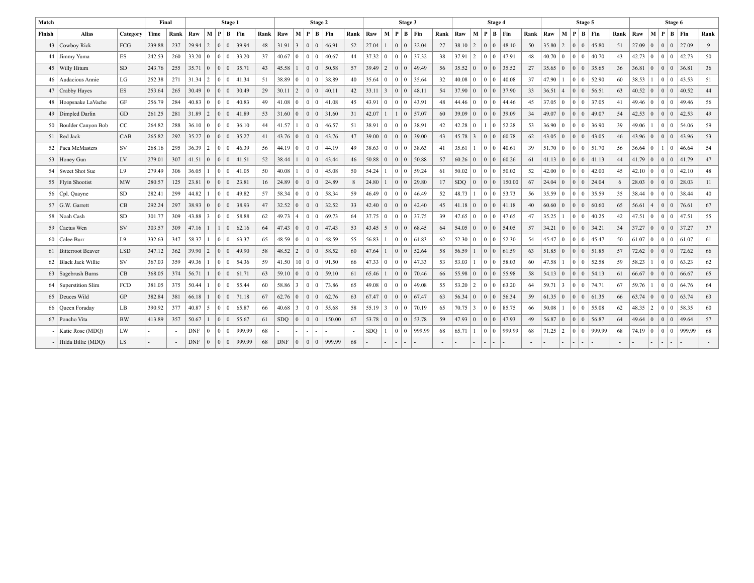| Match  |                         |            | Final  |      |                |                 |                                                 | Stage 1                |                 |      |                |                |                | Stage 2         |                |    |                |                 |                          | Stage 3                  |        |      |                |                 | Stage 4                                              |         |                |                   |                 |                | Stage 5         |             |      |                |                 |                 | Stage 6         |                       |      |
|--------|-------------------------|------------|--------|------|----------------|-----------------|-------------------------------------------------|------------------------|-----------------|------|----------------|----------------|----------------|-----------------|----------------|----|----------------|-----------------|--------------------------|--------------------------|--------|------|----------------|-----------------|------------------------------------------------------|---------|----------------|-------------------|-----------------|----------------|-----------------|-------------|------|----------------|-----------------|-----------------|-----------------|-----------------------|------|
| Finish | <b>Alias</b>            | Category   | Time   | Rank | Raw            |                 |                                                 |                        | M   P   B   Fin | Rank | Raw            |                | M P            |                 | $B$   Fin      |    | Rank Raw       | М               |                          | $P \mid B \mid Fin$      |        | Rank | Raw            | $M$   $P$       |                                                      | B   Fin | Rank           | Raw               | M               | $\mathbf{P}$   | B Fin           |             | Rank | Raw            |                 |                 |                 | M   P   B   Fin       | Rank |
| 43     | Cowboy Rick             | FCG        | 239.88 | 237  | 29.94          | 2               | 0 0                                             |                        | 39.94           | 48   | 31.91          | $\overline{3}$ | $\overline{0}$ | 0 <sup>1</sup>  | 46.91          | 52 | 27.04          |                 | 0 <sup>10</sup>          |                          | 32.04  | 27   | 38.10          | $\vert 2 \vert$ | $\overline{0}$<br>$\overline{0}$                     | 48.10   | 50             | 35.80             | 2               | $\overline{0}$ | $\overline{0}$  | 145.80      | 51   | $27.09 \mid 0$ |                 |                 |                 | $0 \mid 0 \mid 27.09$ | 9    |
|        | 44 Jimmy Yuma           | <b>ES</b>  | 242.53 | 260  | 33.20          | $\overline{0}$  | 0 0                                             |                        | 33.20           | 37   | 40.67          | $\Omega$       | $\Omega$       | $\Omega$        | 40.67          | 44 | 37.32          | $\vert 0 \vert$ |                          | 0 <sup>10</sup>          | 37.32  | 38   | $37.91$   2    |                 | $\Omega$<br>$\Omega$                                 | 47.91   | 48             | 40.70             | $\sqrt{0}$      | $\overline{0}$ | $\overline{0}$  | 40.70       | 43   | $42.73 \mid 0$ |                 |                 | 0 <sup>10</sup> | 42.73                 | 50   |
| 45     | Willy Hitum             | <b>SD</b>  | 243.76 | 255  | 35.71          | $\mathbf{0}$    | $\vert 0 \vert 0 \vert$                         |                        | 35.71           | 43   | 45.58          |                | $\overline{0}$ | $\overline{0}$  | 50.58          | 57 | $39.49$   2    |                 | 0 <sup>10</sup>          |                          | 49.49  | 56   | 35.52          | $\overline{0}$  | $0$ 0                                                | 35.52   | 27             | 35.65             | $\vert 0 \vert$ | $\overline{0}$ | $\vert 0 \vert$ | 35.65       | 36   | 36.81          | $\vert 0 \vert$ |                 | 0 <sup>10</sup> | 36.81                 | 36   |
| 46     | Audacious Annie         | LG         | 252.38 | 271  | $31.34$   2    |                 |                                                 |                        | 0 0 41.34       | 51   | 38.89 0        |                | $\Omega$       | $\overline{0}$  | 38.89          | 40 | 35.64          | $\overline{0}$  | 0 <sup>10</sup>          |                          | 35.64  | 32   | $40.08 \mid 0$ |                 | $\Omega$<br>$\Omega$                                 | 40.08   | 37             | 47.90             | $\mathbf{1}$    | $\overline{0}$ | $\overline{0}$  | 52.90       | 60   | $38.53$   1    |                 |                 | 0 <sup>10</sup> | 43.53                 | 51   |
| 47     | Crabby Hayes            | ES.        | 253.64 | 265  | 30.49          | $\overline{0}$  |                                                 |                        | 30.49           | 29   | 30.11          | 2              | $\overline{0}$ | $\overline{0}$  | 40.11          | 42 | 33.11          | 3               | 0 <sup>10</sup>          |                          | 48.11  | 54   | 37.90          | $\overline{0}$  | $\Omega$<br>$\overline{0}$                           | 37.90   | 33             | 36.51             | $\vert 4 \vert$ | $\overline{0}$ | $\overline{0}$  | 56.51       | 63   | $40.52 \mid 0$ |                 |                 | 0 <sup>10</sup> | 40.52                 | 44   |
|        | 48   Hoopsnake LaVache  | GF         | 256.79 | 284  | $40.83 \pm 0$  |                 |                                                 | 0 <sub>10</sub>        | 40.83           | 49   | $41.08 \mid 0$ |                | $\Omega$       | $\overline{0}$  | 41.08          | 45 | $43.91 \pm 0$  |                 | 0 <sup>10</sup>          |                          | 43.91  | 48   | $44.46 \mid 0$ |                 | $\Omega$<br>$\Omega$                                 | 44.46   | 45             | $37.05 \pm 0$     |                 | $\overline{0}$ | $\overline{0}$  | 137.05      | 41   | $49.46 \pm 0$  |                 |                 | 0 <sup>10</sup> | 149.46                | 56   |
|        | 49   Dimpled Darlin     | GD         | 261.25 | 281  | 31.89          | 2               | $\begin{array}{c c} 0 & 0 \end{array}$          |                        | 41.89           | 53   | 31.60          | $\Omega$       | $\Omega$       | $\overline{0}$  | 31.60          | 31 | 42.07          |                 |                          | $\vert 0 \vert$          | 57.07  | 60   | 39.09          | $\overline{0}$  | $\Omega$<br>$\Omega$                                 | 39.09   | 34             | 49.07             | $\overline{0}$  | $\overline{0}$ | $\overline{0}$  | 49.07       | 54   | 42.53          | $\overline{0}$  | 0 <sup>10</sup> |                 | 42.53                 | 49   |
|        | 50   Boulder Canyon Bob | CC         | 264.82 | 288  | $36.10 \mid 0$ |                 |                                                 |                        | 0 0 36.10       | 44   | 41.57          |                | $\mathbf{0}$   | $\overline{0}$  | 46.57          | 51 | 38.91          | $\bf{0}$        | 0 <sup>10</sup>          |                          | 38.91  | 42   | $42.28$ 0      |                 | 1<br>$\mathbf{0}$                                    | 52.28   | 53             | 36.90             | $\overline{0}$  | $\overline{0}$ | $\overline{0}$  | 36.90       | 39   | 49.06          |                 |                 | 0 <sup>10</sup> | 54.06                 | 59   |
|        | 51   Red Jack           | CAB        | 265.82 | 292  | 35.27          | $\overline{0}$  |                                                 |                        | 35.27           | 41   | 43.76          | $\overline{0}$ | $\overline{0}$ | $\overline{0}$  | 43.76          | 47 | $39.00 \mid 0$ |                 | 0 <sup>10</sup>          |                          | 39.00  | 43   | $45.78$ 3      |                 | $\overline{0}$<br>0 <sup>1</sup>                     | 60.78   | 62             | $43.05 \pm 0$     |                 | $\overline{0}$ | $\overline{0}$  | 43.05       | 46   | $43.96 \mid 0$ |                 |                 | 0 <sup>10</sup> | 43.96                 | 53   |
|        | 52 Paca McMasters       | SV         | 268.16 | 295  | 36.39          | $\sqrt{2}$      | 0 0                                             |                        | 46.39           | 56   | 44.19          | $\Omega$       | $\overline{0}$ | $\overline{0}$  | 44.19          | 49 | $38.63 \pm 0$  |                 | 0 <sup>10</sup>          |                          | 38.63  | 41   | 35.61          |                 | $\overline{0}$<br>$\overline{0}$                     | 40.61   | 39             | 51.70             | $\overline{0}$  | $\overline{0}$ |                 | $ 0 $ 51.70 | 56   | 36.64          | $\overline{0}$  |                 | $1 \mid 0$      | 46.64                 | 54   |
|        | 53 Honey Gun            | LV         | 279.01 | 307  | 41.51          | $\overline{0}$  |                                                 |                        | 41.51           | 52   | 38.44          |                | $\overline{0}$ | $\overline{0}$  | 43.44          | 46 | $50.88$   0    |                 | 0 <sup>10</sup>          |                          | 50.88  | 57   | $60.26 \mid 0$ |                 | $\Omega$<br>$\Omega$                                 | 60.26   | 61             | $41.13 \mid 0$    |                 | $\overline{0}$ | $\overline{0}$  | 41.13       | 44   | $41.79$ 0      |                 | $\overline{0}$  | $\Omega$        | 41.79                 | 47   |
| 54     | Sweet Shot Sue          | L9         | 279.49 | 306  | 36.05          | -1              | $\vert 0 \vert 0 \vert$                         |                        | 41.05           | 50   | 40.08          |                | $\overline{0}$ | $\overline{0}$  | 45.08          | 50 | 54.24          |                 |                          | 0 <sup>10</sup>          | 59.24  | 61   | 50.02          | $\mathbf{0}$    | $\Omega$<br>$\overline{0}$                           | 50.02   | 52             | 42.00             | $\vert 0 \vert$ | $\overline{0}$ | $\vert 0 \vert$ | 42.00       | 45   | $42.10 \mid 0$ |                 |                 | 0 <sup>10</sup> | 42.10                 | 48   |
|        | 55   Flyin Shootist     | MW         | 280.57 | 125  | 23.81          | $\mathbf{0}$    |                                                 |                        | 23.81           | 16   | $24.89 \mid 0$ |                | $\overline{0}$ |                 | $0 \mid 24.89$ | 8  | 24.80          |                 | 0 <sup>10</sup>          |                          | 29.80  | 17   | <b>SDO</b>     | $\overline{0}$  | $\overline{0}$<br>$\Omega$                           | 150.00  | 67             | $24.04 \pm 0$     |                 | $\overline{0}$ | $\vert 0 \vert$ | 24.04       | 6    | $28.03 \mid 0$ |                 |                 | $0 \mid 0$      | 28.03                 | 11   |
|        | 56   Cpl. Quayne        | SD.        | 282.41 | 299  | 44.82          |                 | $\vert 0 \vert 0 \vert$                         |                        | 49.82           | 57   | 58.34          | $\Omega$       | $\Omega$       | $\mathbf{0}$    | 58.34          | 59 | 46.49          | $\overline{0}$  | 0 <sup>10</sup>          |                          | 46.49  | 52   | $48.73$   1    |                 | $\Omega$<br>$\overline{0}$                           | 53.73   | 56             | 35.59             | $\vert 0 \vert$ | $\overline{0}$ | $\vert 0 \vert$ | 35.59       | 35   | $38.44 \mid 0$ |                 |                 | 0 <sup>10</sup> | 38.44                 | 40   |
|        | $57$ G.W. Garrett       | CB         | 292.24 | 297  | $38.93 \mid 0$ |                 |                                                 |                        | 38.93           | 47   | 32.52 0        |                | $\overline{0}$ | $\overline{0}$  | 32.52          | 33 | $42.40 \pm 0$  |                 | 0 <sup>10</sup>          |                          | 42.40  | 45   | $41.18$   0    |                 | $\overline{0}$<br>$\overline{0}$                     | 41.18   | 40             | 60.60             | $\overline{0}$  | $\overline{0}$ | $\vert 0 \vert$ | 60.60       | 65   | 56.61          | $\vert 4$       |                 | 0 <sup>10</sup> | 176.61                | 67   |
|        | 58   Noah Cash          | <b>SD</b>  | 301.77 | 309  | 43.88          | $\overline{3}$  |                                                 |                        | 58.88           | 62   | 49.73          | $\overline{4}$ | $\theta$       | $\Omega$        | 69.73          | 64 | $37.75 \mid 0$ |                 |                          | 0 <sup>10</sup>          | 37.75  | 39   | $47.65 \pm 0$  |                 | $\Omega$<br>$\Omega$                                 | 47.65   | 47             | 35.25             | $\mathbf{1}$    | $\overline{0}$ | $\overline{0}$  | 40.25       | 42   | $47.51$ 0      |                 |                 |                 | $ 0 0 $ 47.51         | 55   |
|        | 59   Cactus Wen         | SV         | 303.57 | 309  | $47.16$   1    |                 |                                                 | 0                      | 62.16           | 64   | 47.43          | $\Omega$       | $\overline{0}$ | 0 <sup>1</sup>  | 47.43          | 53 | $43.45$ 5      |                 | 0 <sup>10</sup>          |                          | 68.45  | 64   | $54.05 \mid 0$ |                 | $\overline{0}$<br>$\Omega$                           | 54.05   | 57             | $34.21$ 0         |                 | $\overline{0}$ | $\vert 0 \vert$ | 34.21       | 34   | $37.27$ 0      |                 |                 |                 | 0 0 37.27             | 37   |
|        | 60 Calee Burr           | L9         | 332.63 | 347  | 58.37          |                 |                                                 | $0$ $0$ $\overline{0}$ | 63.37           | 65   | 48.59          | $\mathbf{0}$   | $\overline{0}$ | $\overline{0}$  | 48.59          | 55 | 56.83          |                 |                          | 0 <sup>1</sup>           | 61.83  | 62   | $52.30 \mid 0$ |                 | $\overline{0}$<br>$\mathbf{0}$                       | 52.30   | 54             | 45.47             | $\vert 0 \vert$ | $\overline{0}$ | $\overline{0}$  | 45.47       | 50   | $61.07$ 0      |                 |                 |                 | 000161.07             | 61   |
|        | 61   Bitterroot Beaver  | <b>LSD</b> | 347.12 | 362  | 39.90          | $\vert 2 \vert$ | 0 0                                             |                        | 49.90           | 58   | 48.52          | 2              | 0 <sup>1</sup> | $\vert 0 \vert$ | 58.52          | 60 | 47.64          |                 | 0 <sup>10</sup>          |                          | 52.64  | 58   | 56.59          |                 | $\vert 0 \vert$<br>$\overline{0}$                    | 61.59   | 63             | $51.85 \,   \, 0$ |                 | $\overline{0}$ | $\vert 0 \vert$ | 151.85      | 57   | $72.62 \mid 0$ |                 |                 | 0 <sup>10</sup> | 72.62                 | 66   |
|        | 62 Black Jack Willie    | SV         | 367.03 | 359  | 49.36          | - 1             | 0 0                                             |                        | 54.36           | 59   | 41.50          |                |                |                 | 10 0 0 91.50   | 66 | $47.33 \pm 0$  |                 |                          | 0 <sup>10</sup>          | 47.33  | 53   | $53.03 \pm 1$  |                 | $\overline{0}$<br>$\Omega$                           | 58.03   | 60             | 47.58             | $\mathbf{1}$    | $\overline{0}$ | $\overline{0}$  | 52.58       | 59   | $58.23$   1    |                 |                 | 0 <sup>10</sup> | 63.23                 | 62   |
| 63     | Sagebrush Burns         | CB         | 368.05 | 374  | 56.71          | $\overline{1}$  |                                                 | 0 0                    | 61.71           | 63   | 59.10          | $\Omega$       | $\overline{0}$ | $\vert 0 \vert$ | 59.10          | 61 | 65.46          |                 | 0 <sup>10</sup>          |                          | 70.46  | 66   | 55.98          | $\overline{0}$  | $\Omega$<br>$\vert 0 \vert$                          | 55.98   | 58             | $54.13 \mid 0$    |                 | $\overline{0}$ | $\vert 0 \vert$ | 54.13       | 61   | 66.67          | $\overline{0}$  |                 | 0 <sup>10</sup> | 66.67                 | 65   |
| 64     | Superstition Slim       | FCD        | 381.05 | 375  | 50.44          | $\overline{1}$  |                                                 | 0 0                    | 55.44           | 60   | $58.86$   3    |                | $\overline{0}$ | $\overline{0}$  | 73.86          | 65 | $49.08 \pm 0$  |                 | 0 <sup>10</sup>          |                          | 49.08  | 55   | $53.20$   2    |                 | $\Omega$<br>$\overline{0}$                           | 63.20   | 64             | $59.71$ 3         |                 | $\overline{0}$ | $\vert 0 \vert$ | 74.71       | 67   | $59.76$   1    |                 |                 | 0 <sup>10</sup> | 64.76                 | 64   |
|        | 65   Deuces Wild        | GP         | 382.84 | 381  | 66.18          | $\overline{1}$  |                                                 |                        | 71.18           | 67   | 62.76          | $\Omega$       | $\overline{0}$ | $\overline{0}$  | 62.76          | 63 | 67.47          | $\vert 0 \vert$ | 0 <sup>10</sup>          |                          | 67.47  | 63   | $56.34 \mid 0$ |                 | $\Omega$<br>$\overline{0}$                           | 56.34   | 59             | $61.35 \mid 0$    |                 | $\overline{0}$ | $\vert 0 \vert$ | 61.35       | 66   | $63.74$   0    |                 |                 | 0 <sup>10</sup> | 63.74                 | 63   |
|        | 66   Queen Foraday      | LB         | 390.92 | 377  | $40.87$ 5      |                 |                                                 | 0 <sub>10</sub>        | 65.87           | 66   | $40.68$   3    |                | $\Omega$       | $\Omega$        | 55.68          | 58 | $55.19$ 3      |                 | 0 <sup>10</sup>          |                          | 70.19  | 65   | $70.75$ 3      |                 | $\Omega$<br>$\Omega$                                 | 85.75   | 66             | 50.08             | $\mathbf{1}$    | $\overline{0}$ | $\overline{0}$  | 55.08       | 62   | $48.35$   2    |                 |                 | 0 <sup>10</sup> | 58.35                 | 60   |
|        | 67 Poncho Vita          | <b>BW</b>  | 413.89 | 357  | 50.67          | $\overline{1}$  | 0 <sup>10</sup>                                 |                        | 55.67           | 61   | <b>SDQ</b>     | $\Omega$       | $\Omega$       | $\Omega$        | 150.00         | 67 | 53.78          | $\Omega$        | 0 <sup>10</sup>          |                          | 53.78  | .59  | $47.93 \mid 0$ |                 | $\Omega$<br>$\Omega$                                 | 47.93   | 49             | 56.87             | $\vert 0 \vert$ | $\overline{0}$ | $\overline{0}$  | 56.87       | 64   | 49.64          | $\overline{0}$  |                 | 0 <sup>10</sup> | 149.64                | 57   |
|        | Katie Rose (MDO)        | LW         |        |      | <b>DNF</b>     | $\Omega$        |                                                 | 0 <sup>10</sup>        | 999.99          | 68   |                |                |                |                 |                |    | SDO.           |                 | 0 <sup>10</sup>          |                          | 999.99 | 68   | 65.71          | $\overline{1}$  | $\Omega$<br>$\Omega$                                 | 999.99  | 68             | 71.25             | $\overline{2}$  | $\overline{0}$ | $\vert 0 \vert$ | 999.99      | 68   | $74.19$ 0      |                 |                 |                 | 0 0 999.99            | 68   |
|        | Hilda Billie (MDO)      | LS.        |        |      | <b>DNF</b>     | $\overline{0}$  | $\begin{array}{c c c c c c} \hline \end{array}$ |                        | 999.99          | 68   |                |                |                |                 |                | 68 |                | ٠.              | $\overline{\phantom{a}}$ | $\overline{\phantom{a}}$ |        |      |                | $\overline{a}$  | $\overline{\phantom{a}}$<br>$\overline{\phantom{a}}$ |         | $\overline{a}$ |                   |                 | $\sim$         | $\sim$          |             |      |                |                 |                 |                 |                       |      |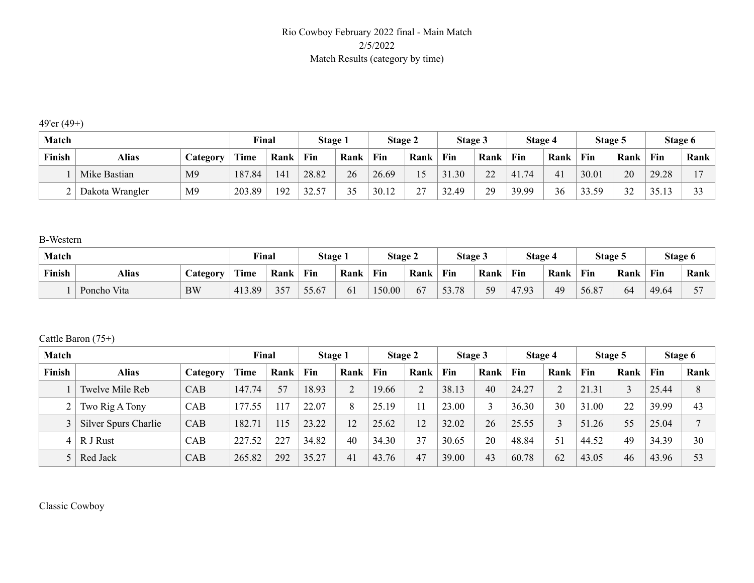### Rio Cowboy February 2022 final - Main Match 2/5/2022 Match Results (category by time)

49'er (49+)

| <b>Match</b> |                 |                 | Final       |      | <b>Stage 1</b> |      | Stage 2 |              | Stage 3 |                            | Stage 4   |                | Stage 5 |      | Stage 6 |                   |
|--------------|-----------------|-----------------|-------------|------|----------------|------|---------|--------------|---------|----------------------------|-----------|----------------|---------|------|---------|-------------------|
| Finish       | Alias           | <b>Category</b> | <b>Time</b> | Rank | Fin            | Rank | Fin     | Rank         | Fin     | Rank                       | Fin       | Rank           | Fin     | Rank | Fin     | Rank              |
|              | Mike Bastian    | M <sub>9</sub>  | 187.84      | 41   | 28.82          | 26   | 26.69   | 15           | 31.30   | $\gamma\gamma$<br><u>_</u> | .74<br>41 | 4 <sub>1</sub> | 30.01   | 20   | 29.28   | $\overline{ }$    |
|              | Dakota Wrangler | M <sub>9</sub>  | 203.89      | 192  | 3257           | 35   | 30.12   | $\sim$<br>∼. | 32.49   | 29                         | 39.99     | 36             | 33.59   | 32   | 3513    | $\mathbf{\Omega}$ |

B-Western

| Match  |                   |           | Final  |      | Stage 1 |      | Stage 2 |      | Stage 3 |      | Stage 4 |      | Stage 5 |      |       | Stage 6                  |
|--------|-------------------|-----------|--------|------|---------|------|---------|------|---------|------|---------|------|---------|------|-------|--------------------------|
| Finish | Alias<br>Category |           | Time   | Rank | Fin     | Rank | Fin     | Rank | Fin     | Rank | Fin     | Rank | Fin     | Rank | Fin   | Rank                     |
|        | Poncho Vita       | <b>BW</b> | 413.89 | 357  | 55.67   | 61   | 150.00  | 67   | 53.78   | 59   | 47.93   | 49   | 56.87   | 64   | 49.64 | $\overline{\phantom{0}}$ |

Cattle Baron (75+)

| Match  |                      |            | Final       |      | Stage 1 |                | Stage 2 |      | Stage 3 |      | Stage 4 |      | Stage 5 |      | Stage 6 |              |
|--------|----------------------|------------|-------------|------|---------|----------------|---------|------|---------|------|---------|------|---------|------|---------|--------------|
| Finish | <b>Alias</b>         | Category   | <b>Time</b> | Rank | Fin     | Rank           | Fin     | Rank | Fin     | Rank | Fin     | Rank | Fin     | Rank | Fin     | Rank         |
|        | Twelve Mile Reb      | <b>CAB</b> | 147.74      | 57   | 18.93   | $\overline{2}$ | 19.66   | 2    | 38.13   | 40   | 24.27   |      | 21.31   |      | 25.44   | 8            |
|        | Two Rig A Tony       | <b>CAB</b> | 177.55      | 17   | 22.07   | 8              | 25.19   |      | 23.00   |      | 36.30   | 30   | 31.00   | 22   | 39.99   | 43           |
|        | Silver Spurs Charlie | CAB        | 182.71      | .15  | 23.22   | 12             | 25.62   | 12   | 32.02   | 26   | 25.55   |      | 51.26   | 55   | 25.04   | $\mathbf{r}$ |
| 4      | R J Rust             | CAB        | 227.52      | 227  | 34.82   | 40             | 34.30   | 37   | 30.65   | 20   | 48.84   | 51   | 44.52   | 49   | 34.39   | 30           |
|        | Red Jack             | <b>CAB</b> | 265.82      | 292  | 35.27   | 41             | 43.76   | 47   | 39.00   | 43   | 60.78   | 62   | 43.05   | 46   | 43.96   | 53           |

Classic Cowboy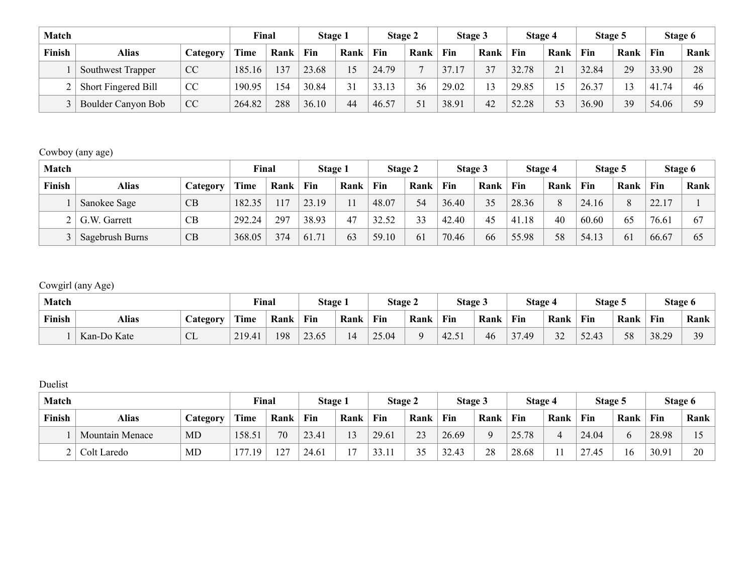| Match  |                            |          | Final  |      | Stage 1 |      | Stage 2 |      | Stage 3 |      | Stage 4 |      | Stage 5 |      | Stage 6 |      |
|--------|----------------------------|----------|--------|------|---------|------|---------|------|---------|------|---------|------|---------|------|---------|------|
| Finish | <b>Alias</b>               | Category | Time   | Rank | Fin     | Rank | Fin     | Rank | Fin     | Rank | Fin     | Rank | Fin     | Rank | Fin     | Rank |
|        | Southwest Trapper          | CC       | 185.16 | 137  | 23.68   |      | 24.79   |      | 37.17   | 37   | 32.78   | 21   | 32.84   | 29   | 33.90   | 28   |
|        | <b>Short Fingered Bill</b> | CC       | 190.95 | 154  | 30.84   | 31   | 33.13   | 36   | 29.02   | 13   | 29.85   |      | 26.37   |      | 41.74   | 46   |
|        | Boulder Canyon Bob         | CC       | 264.82 | 288  | 36.10   | 44   | 46.57   | 51   | 38.91   | 42   | 52.28   | 53   | 36.90   | 39   | 54.06   | 59   |

### Cowboy (any age)

| <b>Match</b> |                 |          | Final  |      | Stage 1 |      | Stage 2 |      | Stage 3 |      | Stage 4 |      | Stage 5 |      |       | Stage 6 |
|--------------|-----------------|----------|--------|------|---------|------|---------|------|---------|------|---------|------|---------|------|-------|---------|
| Finish       | <b>Alias</b>    | Category | Time   | Rank | Fin     | Rank | Fin     | Rank | Fin     | Rank | Fin     | Rank | Fin     | Rank | Fin   | Rank    |
|              | Sanokee Sage    | CB       | 182.35 | 17   | 23.19   |      | 48.07   | 54   | 36.40   | 35   | 28.36   |      | 24.16   | 8    | 22.17 |         |
|              | G.W. Garrett    | CB       | 292.24 | 297  | 38.93   | 47   | 32.52   | 33   | 42.40   | 45   | 41.18   | 40   | 60.60   | 65   | 76.6  | 67      |
|              | Sagebrush Burns | CB       | 368.05 | 374  | 61.71   | 63   | 59.10   | 61   | 70.46   | 66   | 55.98   | 58   | 54.13   | 61   | 66.67 | 65      |

### Cowgirl (any Age)

| Match         |                                 |                            | Final  |      | Stage . |      | Stage 2 |      | Stage 5    |      | Stage 4                                             |                          | Stage 5             |      |       | Stage 6   |
|---------------|---------------------------------|----------------------------|--------|------|---------|------|---------|------|------------|------|-----------------------------------------------------|--------------------------|---------------------|------|-------|-----------|
| <b>Finish</b> | <b>Alias</b><br><b>Category</b> |                            | Time   | Rank | Fin     | Rank | Fin     | Rank | <b>Fin</b> | Rank | Fin                                                 | Rank                     | Fin                 | Rank | Fin   | Rank      |
|               | Kan-Do Kate                     | $\sqrt{1}$<br>$\mathbf{L}$ | 219.41 | 198  | 23.65   |      | 25.04   | Q    | 42.51      | 46   | $\sim$ $\sim$<br>.49<br>$\ddot{\phantom{1}}$<br>، ب | $\mathbf{\Omega}$<br>ے ر | $\sqrt{2}$<br>32.43 | 58   | 38.29 | 30<br>ر ب |

### Duelist

| Match  |                        |          | Final       |      | Stage 1 |                | <b>Stage 2</b> |           | Stage 3 |          | Stage 4 |      | Stage 5     |              | Stage 6 |      |
|--------|------------------------|----------|-------------|------|---------|----------------|----------------|-----------|---------|----------|---------|------|-------------|--------------|---------|------|
| Finish | Alias                  | Category | <b>Time</b> | Rank | Fin     | Rank           | Fin            | Rank      | Fin     | Rank     | Fin     | Rank | Fin         | Rank         | Fin     | Rank |
|        | <b>Mountain Menace</b> | MD       | 158.51      | 70   | 23.41   | 13             | 29.61          | 23        | 26.69   | $\Omega$ | 25.78   |      | 24.04       | <sub>0</sub> | 28.98   |      |
|        | Colt Laredo            | MD       | 177<br>.19  | 127  | 24.61   | 1 <sub>7</sub> | 33.11          | 25<br>ں ر | 32.43   | 28       | 28.68   |      | 27<br>27.45 | 16           | 30.91   | 20   |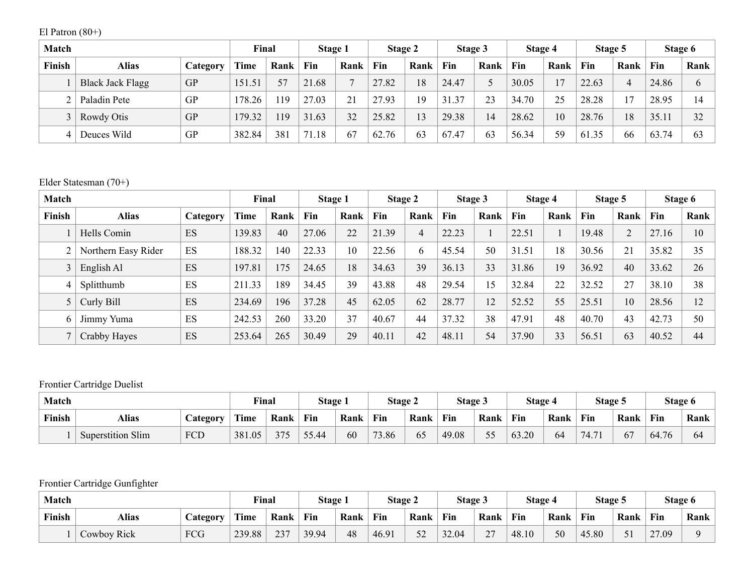El Patron (80+)

| Match  |                         |           | Final  |      | Stage 1 |                | Stage 2 |      | Stage 3 |      | Stage 4 |      | Stage 5 |      | Stage 6 |      |
|--------|-------------------------|-----------|--------|------|---------|----------------|---------|------|---------|------|---------|------|---------|------|---------|------|
| Finish | Alias                   | Category  | Time   | Rank | Fin     | Rank           | Fin     | Rank | Fin     | Rank | Fin     | Rank | Fin     | Rank | Fin     | Rank |
|        | <b>Black Jack Flagg</b> | <b>GP</b> | 151.51 | 57   | 21.68   | $\overline{ }$ | 27.82   | 18   | 24.47   | ∼    | 30.05   |      | 22.63   |      | 24.86   | 6    |
|        | Paladin Pete            | GP        | 178.26 | 119  | 27.03   | 21             | 27.93   | 19   | 31.37   | 23   | 34.70   | 25   | 28.28   |      | 28.95   | 14   |
|        | Rowdy Otis              | <b>GP</b> | 179.32 | 119  | 31.63   | 32             | 25.82   | 13   | 29.38   | 14   | 28.62   | 10   | 28.76   | 18   | 35.11   | 32   |
| 4      | Deuces Wild             | GP        | 382.84 | 381  | 71.18   | 67             | 62.76   | 63   | 67.47   | 63   | 56.34   | 59   | 61.35   | 66   | 63.74   | 63   |

### Elder Statesman (70+)

| Match  |                     |          | Final       |      | Stage 1 |      | Stage 2 |                | Stage 3 |      | Stage 4 |      | Stage 5 |      | Stage 6 |      |
|--------|---------------------|----------|-------------|------|---------|------|---------|----------------|---------|------|---------|------|---------|------|---------|------|
| Finish | <b>Alias</b>        | Category | <b>Time</b> | Rank | Fin     | Rank | Fin     | Rank           | Fin     | Rank | Fin     | Rank | Fin     | Rank | Fin     | Rank |
|        | Hells Comin         | ES       | 139.83      | 40   | 27.06   | 22   | 21.39   | $\overline{4}$ | 22.23   |      | 22.51   |      | 19.48   | 2    | 27.16   | 10   |
|        | Northern Easy Rider | ES       | 188.32      | 140  | 22.33   | 10   | 22.56   | 6              | 45.54   | 50   | 31.51   | 18   | 30.56   | 21   | 35.82   | 35   |
| 3      | English Al          | ES       | 197.81      | 175  | 24.65   | 18   | 34.63   | 39             | 36.13   | 33   | 31.86   | 19   | 36.92   | 40   | 33.62   | 26   |
| 4      | Splitthumb          | ES       | 211.33      | 189  | 34.45   | 39   | 43.88   | 48             | 29.54   | 5    | 32.84   | 22   | 32.52   | 27   | 38.10   | 38   |
| 5      | Curly Bill          | ES       | 234.69      | 196  | 37.28   | 45   | 62.05   | 62             | 28.77   | 12   | 52.52   | 55   | 25.51   | 10   | 28.56   | 12   |
| 6      | Jimmy Yuma          | ES       | 242.53      | 260  | 33.20   | 37   | 40.67   | 44             | 37.32   | 38   | 47.91   | 48   | 40.70   | 43   | 42.73   | 50   |
|        | Crabby Hayes        | ES       | 253.64      | 265  | 30.49   | 29   | 40.11   | 42             | 48.11   | 54   | 37.90   | 33   | 56.51   | 63   | 40.52   | 44   |

## Frontier Cartridge Duelist

| Match  |                          |                 | Final  |           | Stage 1 |      | <b>Stage 2</b> |      | Stage 3 |           | Stage 4    |      | Stage 5 |      |       | Stage 6 |
|--------|--------------------------|-----------------|--------|-----------|---------|------|----------------|------|---------|-----------|------------|------|---------|------|-------|---------|
| Finish | Alias                    | <b>Lategory</b> | Time   | Rank      | Fin     | Rank | Fin            | Rank | Fin     | Rank      | <b>Fin</b> | Rank | Fin     | Rank | Fin   | Rank    |
|        | <b>Superstition Slim</b> | FCD             | 381.05 | 275<br>້. | 55.44   | 60   | 73.86          | 65   | 49.08   | 55<br>ں ر | 63.20      | 64   | 74.7    | 67   | 64.76 | 64      |

### Frontier Cartridge Gunfighter

| Match  |              |                 | Final  |      | Stage 1 |      | <b>Stage 2</b> |      | <b>Stage 3</b> |                                    | Stage 4 |      | Stage 5 |      | Stage 6 |      |
|--------|--------------|-----------------|--------|------|---------|------|----------------|------|----------------|------------------------------------|---------|------|---------|------|---------|------|
| Finish | <b>Alias</b> | <b>Lategory</b> | Time   | Rank | Fin     | Rank | Fin            | Rank | Fin            | Rank                               | Fin     | Rank | Fin     | Rank | Fin     | Rank |
|        | Cowboy Rick  | FCG             | 239.88 | 237  | 39.94   | 48   | 46.91          | 52   | 32.04          | $\sim$<br>$\overline{\phantom{0}}$ | 48.10   | 50   | 45.80   |      | 27.09   |      |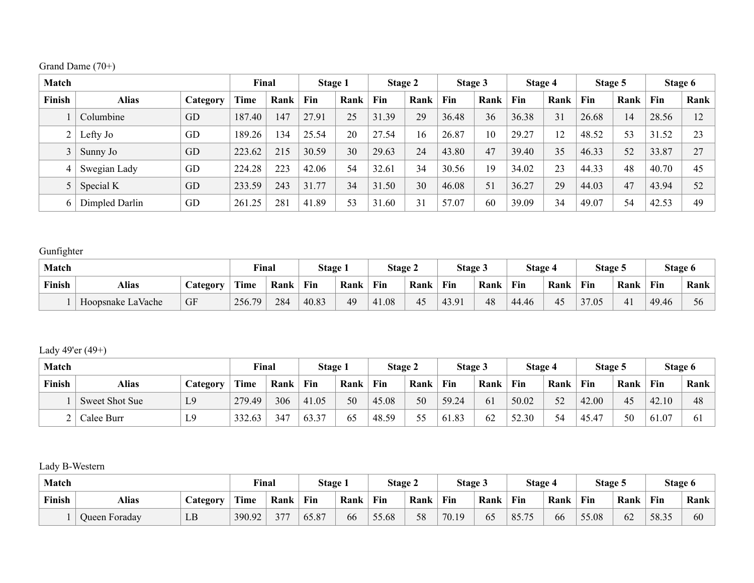|  | Grand Dame (70+) |  |
|--|------------------|--|
|--|------------------|--|

| <b>Match</b>   |                |          | Final  |      | <b>Stage 1</b> |      | Stage 2 |      | Stage 3 |      | Stage 4 |      | Stage 5    |      |       | Stage 6 |
|----------------|----------------|----------|--------|------|----------------|------|---------|------|---------|------|---------|------|------------|------|-------|---------|
| Finish         | <b>Alias</b>   | Category | Time   | Rank | Fin            | Rank | Fin     | Rank | Fin     | Rank | Fin     | Rank | <b>Fin</b> | Rank | Fin   | Rank    |
|                | Columbine      | GD       | 187.40 | 147  | 27.91          | 25   | 31.39   | 29   | 36.48   | 36   | 36.38   | 31   | 26.68      | 14   | 28.56 | 12      |
| $\overline{2}$ | Lefty Jo       | GD       | 189.26 | 134  | 25.54          | 20   | 27.54   | 16   | 26.87   | 10   | 29.27   | 12   | 48.52      | 53   | 31.52 | 23      |
|                | Sunny Jo       | GD       | 223.62 | 215  | 30.59          | 30   | 29.63   | 24   | 43.80   | 47   | 39.40   | 35   | 46.33      | 52   | 33.87 | 27      |
| 4              | Swegian Lady   | GD       | 224.28 | 223  | 42.06          | 54   | 32.61   | 34   | 30.56   | 19   | 34.02   | 23   | 44.33      | 48   | 40.70 | 45      |
|                | Special K      | GD       | 233.59 | 243  | 31.77          | 34   | 31.50   | 30   | 46.08   | 51   | 36.27   | 29   | 44.03      | 47   | 43.94 | 52      |
|                | Dimpled Darlin | GD       | 261.25 | 281  | 41.89          | 53   | 31.60   | 31   | 57.07   | 60   | 39.09   | 34   | 49.07      | 54   | 42.53 | 49      |

### Gunfighter

| Match  |                   |    | <b>Final</b> |      | <b>Stage 1</b> |      | Stage 2 |      | Stage 3 |      | Stage 4 |      | Stage 5 |      |       | Stage 6 |
|--------|-------------------|----|--------------|------|----------------|------|---------|------|---------|------|---------|------|---------|------|-------|---------|
| Finish | Alias<br>Category |    | Time         | Rank | Fin            | Rank | Fin     | Rank | Fin     | Rank | Fin     | Rank | Fin     | Rank | Fin   | Rank    |
|        | Hoopsnake LaVache | GF | 79<br>256.7  | 284  | 40.83          | 49   | 41.08   | 45   | 43.91   | 48   | 44.46   | 45   | 37.05   | 41   | 49.46 | 56      |

### Lady 49'er (49+)

| <b>Match</b> |                |                | Final  |      | Stage 1 |      | <b>Stage 2</b> |      | Stage 3 |      | Stage 4 |      | Stage 5    |      |       | Stage 6 |
|--------------|----------------|----------------|--------|------|---------|------|----------------|------|---------|------|---------|------|------------|------|-------|---------|
| Finish       | Alias          | Category       | Time   | Rank | Fin     | Rank | Fin            | Rank | Fin     | Rank | Fin     | Rank | <b>Fin</b> | Rank | Fin   | Rank    |
|              | Sweet Shot Sue | L <sub>9</sub> | 279.49 | 306  | 41.05   | 50   | 45.08          | 50   | 59.24   | 61   | 50.02   | 52   | 42.00      | 45   | 42.10 | 48      |
|              | Calee Burr     | L9             | 332.63 | 347  | 63.37   | 65   | 48.59          | 55   | 61.83   | 62   | 52.30   | 54   | 45.47      | 50   | 61.07 | -61     |

### Lady B-Western

| Match  |                   |    | Final  |      | Stage |      | <b>Stage 2</b> |      | Stage 3 |                  | Stage 4 |      | Stage 5 |      |       | Stage 6 |
|--------|-------------------|----|--------|------|-------|------|----------------|------|---------|------------------|---------|------|---------|------|-------|---------|
| Finish | Alias<br>Category |    | Time   | Rank | Fin   | Rank | Fin            | Rank | Fin     | Rank             | Fin     | Rank | Fin     | Rank | Fin   | Rank    |
|        | Queen Foraday     | LB | 390.92 | 377  | 65.87 | 66   | 55.68          | 58   | 70.19   | - <b>-</b><br>65 | 85.75   | 66   | 55.08   | 62   | 58.35 | 60      |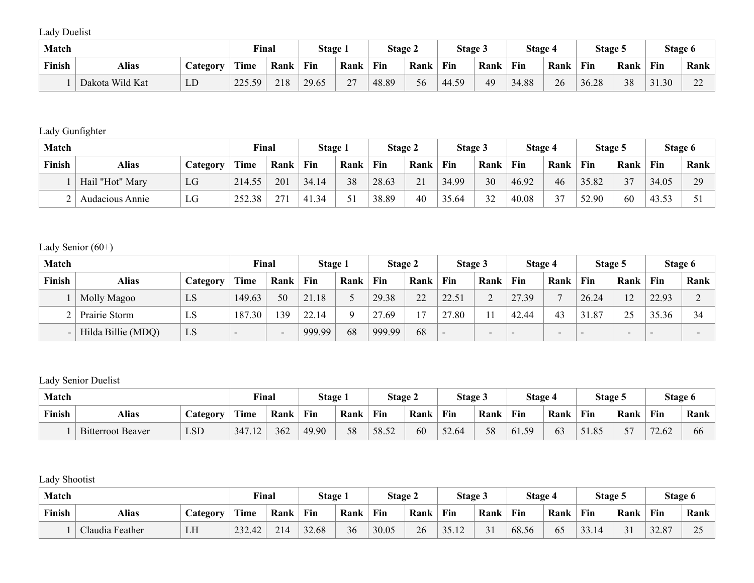Lady Duelist

| <b>Match</b> |                 |                        | <b>Final</b> |      | Stage |                         | <b>Stage 2</b> |             | Stage 3 |      | Stage 4 |      | Stage 5 |      | Stage 6 |                                    |
|--------------|-----------------|------------------------|--------------|------|-------|-------------------------|----------------|-------------|---------|------|---------|------|---------|------|---------|------------------------------------|
| Finish       | Alias           | <b><i>Category</i></b> | <b>Time</b>  | Rank | Fin   | Rank                    | Fin            | <b>Rank</b> | Fin     | Rank | Fin     | Rank | Fin     | Rank | Fin     | Rank                               |
|              | Dakota Wild Kat | LD                     | 225.59<br>50 | 218  | 29.65 | $\mathbin{\lnot}$<br>∠⊣ | 48.89          | 56          | 44.59   | 49   | 34.88   | 26   | 36.28   | 38   | 31.30   | $\sim$<br>$\overline{\phantom{a}}$ |

#### Lady Gunfighter

| <b>Match</b>  |                 |                | Final  |      | Stage 1 |      | <b>Stage 2</b> |          | Stage 3    |      | Stage 4 |      | <b>Stage 5</b> |            |       | Stage 6 |
|---------------|-----------------|----------------|--------|------|---------|------|----------------|----------|------------|------|---------|------|----------------|------------|-------|---------|
| <b>Finish</b> | Alias           | <b>Ategory</b> | Time   | Rank | Fin     | Rank | Fin            | Rank     | <b>Fin</b> | Rank | Fin     | Rank | Fin            | Rank       | Fin   | Rank    |
|               | Hail "Hot" Mary | LG             | 214.55 | 201  | 34.14   | 38   | 28.63          | 21<br>41 | 34.99      | 30   | 46.92   | 46   | 35.82          | n <i>m</i> | 34.05 | 20<br>∼ |
|               | Audacious Annie | LG             | 252.38 | 27!  | 41.34   |      | 38.89          | 40       | 35.64      | 32   | 40.08   | 37   | 52.90          | 60         | 43.53 |         |

### Lady Senior (60+)

| Match          |                    |          | Final                    |                          | Stage 1 |      | Stage 2 |      | Stage 3 |      | Stage 4                  |                          | Stage 5                  |                          |       | Stage 6 |
|----------------|--------------------|----------|--------------------------|--------------------------|---------|------|---------|------|---------|------|--------------------------|--------------------------|--------------------------|--------------------------|-------|---------|
| Finish         | Alias              | Category | Time                     | Rank                     | Fin     | Rank | Fin     | Rank | Fin     | Rank | Fin                      | Rank                     | Fin                      | Rank                     | Fin   | Rank    |
|                | Molly Magoo        | LS       | 149.63                   | 50                       | 21.18   |      | 29.38   | 22   | 22.51   |      | 27.39                    | $\mathbf{r}$             | 26.24                    | 12                       | 22.93 |         |
| ⌒              | Prairie Storm      | LS       | 187.30                   | 39                       | 22.14   | Q    | 27.69   | 17   | 27.80   |      | 42.44                    | 43                       | 31.87                    | 25                       | 35.36 | 34      |
| $\blacksquare$ | Hilda Billie (MDQ) | LS       | $\overline{\phantom{a}}$ | $\overline{\phantom{0}}$ | 999.99  | 68   | 999.99  | 68   | -       | -    | $\overline{\phantom{0}}$ | $\overline{\phantom{0}}$ | $\overline{\phantom{0}}$ | $\overline{\phantom{0}}$ | -     |         |

### Lady Senior Duelist

| Match  |                          |                 | Final  |      | Stage 1 |      | Stage 2 |      | Stage 3 |      | Stage 4 |      | Stage 5 |      |       | Stage 6 |
|--------|--------------------------|-----------------|--------|------|---------|------|---------|------|---------|------|---------|------|---------|------|-------|---------|
| Finish | <b>Alias</b>             | <b>Category</b> | Time   | Rank | Fin     | Rank | Fin     | Rank | Fin     | Rank | Fin     | Rank | Fin     | Rank | Fin   | Rank    |
|        | <b>Bitterroot Beaver</b> | <b>LSD</b>      | 347.12 | 362  | 49.90   | 58   | 58.52   | 60   | 52.64   | 58   | 61.59   | 63   | 51.85   | רה   | 72.62 | 66      |

Lady Shootist

| Match  |                 |                 | Final  |      | Stage i |      | <b>Stage 2</b> |      | <b>Stage 3</b> |                     | Stage 4 |      | Stage 5      |               | Stage 6      |                            |
|--------|-----------------|-----------------|--------|------|---------|------|----------------|------|----------------|---------------------|---------|------|--------------|---------------|--------------|----------------------------|
| Finish | <b>Alias</b>    | <i>Category</i> | Time   | Rank | Fin     | Rank | Fin            | Rank | Fin            | Rank                | Fin     | Rank | Fin          | Rank          | Fin          | Rank                       |
|        | Claudia Feather | LH              | 232.42 | 214  | 32.68   | 36   | 30.05          | 26   | $-15.12$       | $\sim$ $\sim$<br>ັ້ | 68.56   | 65   | $\mathbf{a}$ | $\sim$ $\sim$ | 2207<br>22.0 | $\Delta$ $\epsilon$<br>ت ک |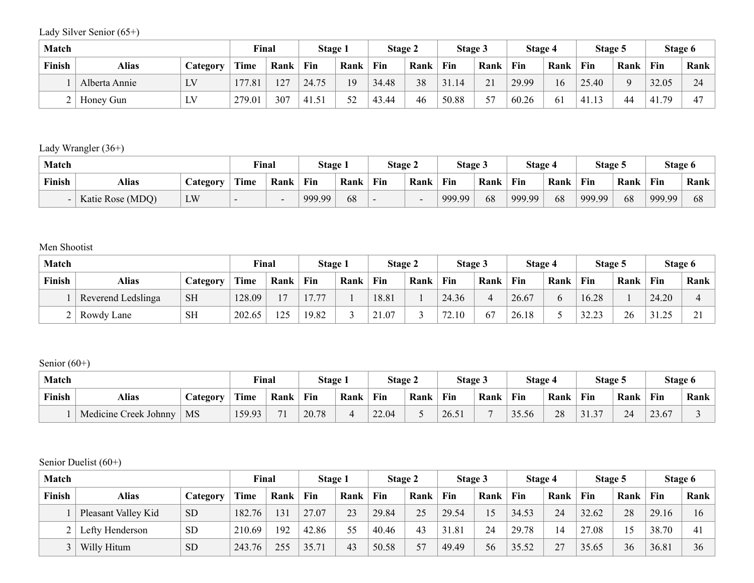Lady Silver Senior (65+)

| Match  |               |                               | Final  |      | <b>Stage 1</b> |      | <b>Stage 2</b> |      | Stage 3 |                 | Stage 4 |      | Stage 5     |          |             | Stage 6             |
|--------|---------------|-------------------------------|--------|------|----------------|------|----------------|------|---------|-----------------|---------|------|-------------|----------|-------------|---------------------|
| Finish | Alias         | <b><i><u>Lategory</u></i></b> | Time   | Rank | Fin            | Rank | Fin            | Rank | Fin     | Rank            | Fin     | Rank | Fin         | Rank     | Fin         | Rank                |
|        | Alberta Annie | LV                            | 177.81 | 127  | 24.75          | 19   | 34.48          | 38   | 31.14   | $\sim$ 1<br>∠ . | 29.99   | 16   | 25.40       | $\Omega$ | 32.05       | $\mathcal{L}$<br>24 |
|        | Honey Gun     | LV                            | 279.01 | 307  | 41.51          | 52   | 43.44          | 46   | 50.88   | 57              | 60.26   | -61  | $\pm$ 41.1. | 44       | 179<br>41.7 | $\sqrt{2}$          |

Lady Wrangler (36+)

| Match         |                  |                 | Final |      | Stage i |      | <b>Stage 2</b> |      | Stage 3 |      | Stage 4 |      | Stage 5 |      | Stage 6 |      |
|---------------|------------------|-----------------|-------|------|---------|------|----------------|------|---------|------|---------|------|---------|------|---------|------|
| <b>Finish</b> | Alias            | <i>Category</i> | Time  | Rank | Fin     | Rank | Fin            | Rank | Fin     | Rank | Fin     | Rank | Fin     | Rank | Fin     | Rank |
|               | Katie Rose (MDQ) | LW              |       |      | 999.99  | 68   |                |      | 999.99  | 68   | 999.99  | 68   | 999.99  | 68   | 999.99  | 68   |

Men Shootist

| <b>Match</b>  |                    |           | Final  |      | Stage 1 |      | <b>Stage 2</b> |      | Stage 3 |                  | Stage 4 |      | Stage 5 |      | Stage 6 |                |
|---------------|--------------------|-----------|--------|------|---------|------|----------------|------|---------|------------------|---------|------|---------|------|---------|----------------|
| <b>Finish</b> | Alias              | Category  | Time   | Rank | Fin     | Rank | Fin            | Rank | Fin     | Rank             | Fin     | Rank | Fin     | Rank | Fin     | Rank           |
|               | Reverend Ledslinga | <b>SH</b> | 128.09 | ר ו  | 17.77   |      | 18.81          |      | 24.36   |                  | 26.67   |      | 16.28   |      | 24.20   |                |
|               | Rowdy Lane         | <b>SH</b> | 202.65 | 125  | 19.82   |      | 21.07          |      | 72.10   | $\epsilon$<br>6/ | 26.18   |      | 32.23   | 26   | 31.25   | $\sim$ 1<br>∠. |

Senior (60+)

| Match  |                       |                 | Final  |       | Stage. |      | Stage 2 |      | <b>Stage 3</b> |      | Stage 4 |      | Stage 5                      |      | Stage 6 |      |
|--------|-----------------------|-----------------|--------|-------|--------|------|---------|------|----------------|------|---------|------|------------------------------|------|---------|------|
| Finish | Alias                 | <b>Lategory</b> | Time   | Rank  | Fin    | Rank | Fin     | Rank | Fin            | Rank | Fin     | Rank | Fin                          | Rank | Fin     | Rank |
|        | Medicine Creek Johnny | <b>MS</b>       | 159.93 | $-11$ | 20.78  | 4    | 22.04   |      | 26.51          |      | 35.56   | 28   | $\gamma$<br>1.3 <sub>1</sub> | 24   | 23.67   |      |

Senior Duelist (60+)

| Match  |                     |           | Final  |      | <b>Stage 1</b> |      | Stage 2 |      | Stage 3 |      | Stage 4 |      | Stage 5 |      |       | Stage 6        |
|--------|---------------------|-----------|--------|------|----------------|------|---------|------|---------|------|---------|------|---------|------|-------|----------------|
| Finish | Alias               | Category  | Time   | Rank | Fin            | Rank | Fin     | Rank | Fin     | Rank | Fin     | Rank | Fin     | Rank | Fin   | Rank           |
|        | Pleasant Valley Kid | <b>SD</b> | 182.76 | 131  | 27.07          | 23   | 29.84   | 25   | 29.54   | 15   | 34.53   | 24   | 32.62   | 28   | 29.16 | 16             |
|        | Lefty Henderson     | <b>SD</b> | 210.69 | 192  | 42.86          | 55   | 40.46   | 43   | 31.81   | 24   | 29.78   |      | 27.08   | 15   | 38.70 | $\overline{4}$ |
|        | Willy Hitum         | <b>SD</b> | 243.76 | 255  | 35.71          | 43   | 50.58   | 57   | 49.49   | 56   | 35.52   | 27   | 35.65   | 36   | 36.81 | 36             |